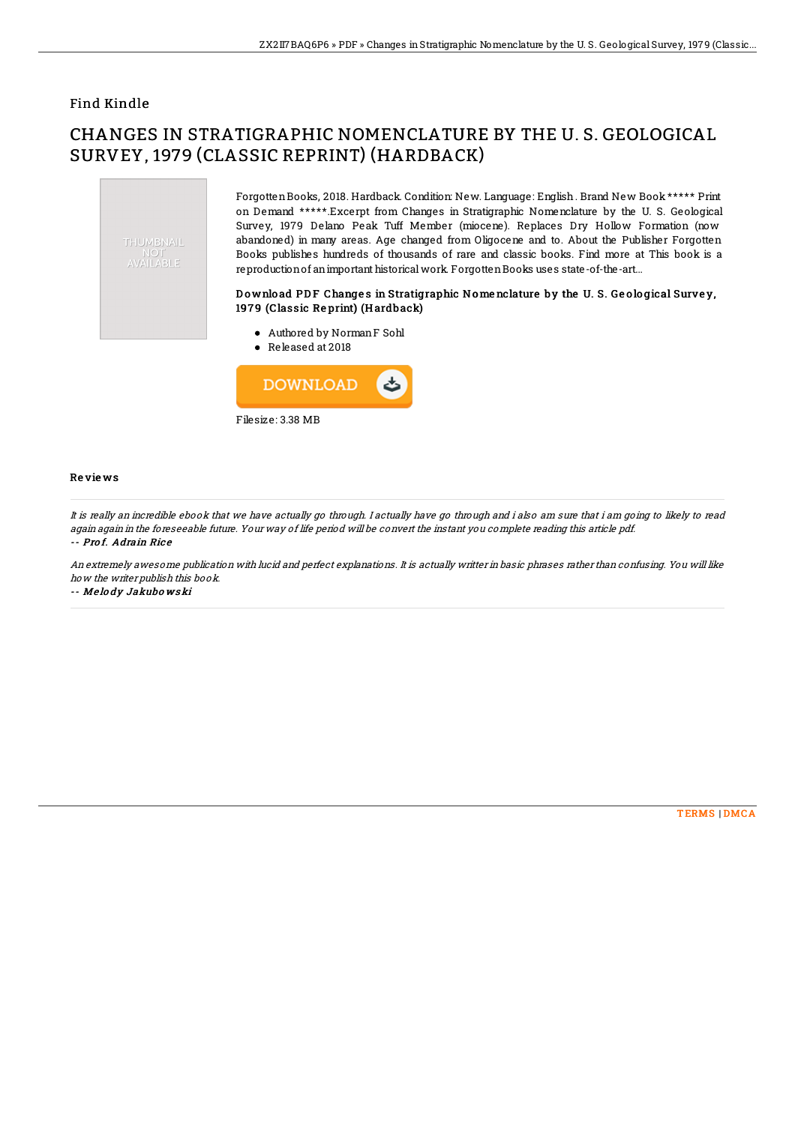## Find Kindle

# CHANGES IN STRATIGRAPHIC NOMENCLATURE BY THE U. S. GEOLOGICAL SURVEY, 1979 (CLASSIC REPRINT) (HARDBACK)



Forgotten Books, 2018. Hardback. Condition: New. Language: English. Brand New Book \*\*\*\*\* Print on Demand \*\*\*\*\*.Excerpt from Changes in Stratigraphic Nomenclature by the U. S. Geological Survey, 1979 Delano Peak Tuff Member (miocene). Replaces Dry Hollow Formation (now abandoned) in many areas. Age changed from Oligocene and to. About the Publisher Forgotten Books publishes hundreds of thousands of rare and classic books. Find more at This book is a reproductionof animportant historicalwork. ForgottenBooks uses state-of-the-art...

### Download PDF Changes in Stratigraphic Nomenclature by the U.S. Geological Survey, 1979 (Classic Reprint) (Hardback)

- Authored by NormanF Sohl
- Released at 2018



#### Re vie ws

It is really an incredible ebook that we have actually go through. I actually have go through and i also am sure that i am going to likely to read again again in the foreseeable future. Your way of life period will be convert the instant you complete reading this article pdf. -- Prof. Adrain Rice

An extremely awesome publication with lucid and perfect explanations. It is actually writter in basic phrases rather than confusing. You will like how the writer publish this book.

-- Me lo dy Jakubo ws ki